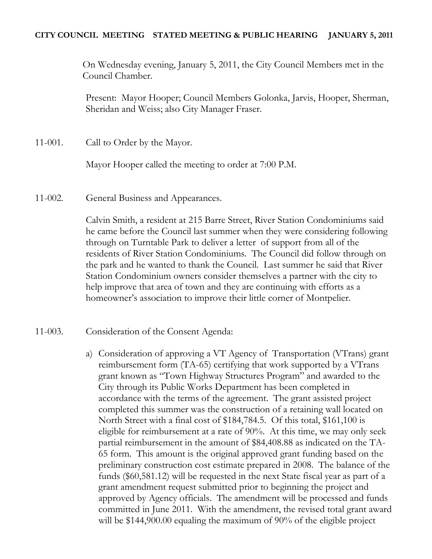## **CITY COUNCIL MEETING STATED MEETING & PUBLIC HEARING JANUARY 5, 2011**

On Wednesday evening, January 5, 2011, the City Council Members met in the Council Chamber.

Present: Mayor Hooper; Council Members Golonka, Jarvis, Hooper, Sherman, Sheridan and Weiss; also City Manager Fraser.

11-001. Call to Order by the Mayor.

Mayor Hooper called the meeting to order at 7:00 P.M.

11-002. General Business and Appearances.

Calvin Smith, a resident at 215 Barre Street, River Station Condominiums said he came before the Council last summer when they were considering following through on Turntable Park to deliver a letter of support from all of the residents of River Station Condominiums. The Council did follow through on the park and he wanted to thank the Council. Last summer he said that River Station Condominium owners consider themselves a partner with the city to help improve that area of town and they are continuing with efforts as a homeowner's association to improve their little corner of Montpelier.

## 11-003. Consideration of the Consent Agenda:

a) Consideration of approving a VT Agency of Transportation (VTrans) grant reimbursement form (TA-65) certifying that work supported by a VTrans grant known as "Town Highway Structures Program" and awarded to the City through its Public Works Department has been completed in accordance with the terms of the agreement. The grant assisted project completed this summer was the construction of a retaining wall located on North Street with a final cost of \$184,784.5. Of this total, \$161,100 is eligible for reimbursement at a rate of 90%. At this time, we may only seek partial reimbursement in the amount of \$84,408.88 as indicated on the TA-65 form. This amount is the original approved grant funding based on the preliminary construction cost estimate prepared in 2008. The balance of the funds (\$60,581.12) will be requested in the next State fiscal year as part of a grant amendment request submitted prior to beginning the project and approved by Agency officials. The amendment will be processed and funds committed in June 2011. With the amendment, the revised total grant award will be \$144,900.00 equaling the maximum of 90% of the eligible project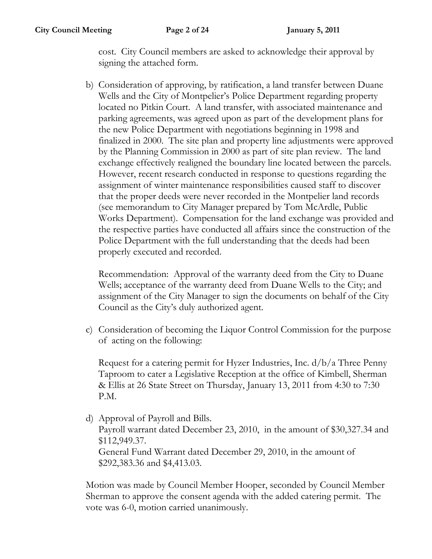**City Council Meeting Page 2 of 24 January 5, 2011**

cost. City Council members are asked to acknowledge their approval by signing the attached form.

b) Consideration of approving, by ratification, a land transfer between Duane Wells and the City of Montpelier's Police Department regarding property located no Pitkin Court. A land transfer, with associated maintenance and parking agreements, was agreed upon as part of the development plans for the new Police Department with negotiations beginning in 1998 and finalized in 2000. The site plan and property line adjustments were approved by the Planning Commission in 2000 as part of site plan review. The land exchange effectively realigned the boundary line located between the parcels. However, recent research conducted in response to questions regarding the assignment of winter maintenance responsibilities caused staff to discover that the proper deeds were never recorded in the Montpelier land records (see memorandum to City Manager prepared by Tom McArdle, Public Works Department). Compensation for the land exchange was provided and the respective parties have conducted all affairs since the construction of the Police Department with the full understanding that the deeds had been properly executed and recorded.

Recommendation: Approval of the warranty deed from the City to Duane Wells; acceptance of the warranty deed from Duane Wells to the City; and assignment of the City Manager to sign the documents on behalf of the City Council as the City's duly authorized agent.

c) Consideration of becoming the Liquor Control Commission for the purpose of acting on the following:

Request for a catering permit for Hyzer Industries, Inc. d/b/a Three Penny Taproom to cater a Legislative Reception at the office of Kimbell, Sherman & Ellis at 26 State Street on Thursday, January 13, 2011 from 4:30 to 7:30 P.M.

d) Approval of Payroll and Bills. Payroll warrant dated December 23, 2010, in the amount of \$30,327.34 and \$112,949.37. General Fund Warrant dated December 29, 2010, in the amount of \$292,383.36 and \$4,413.03.

Motion was made by Council Member Hooper, seconded by Council Member Sherman to approve the consent agenda with the added catering permit. The vote was 6-0, motion carried unanimously.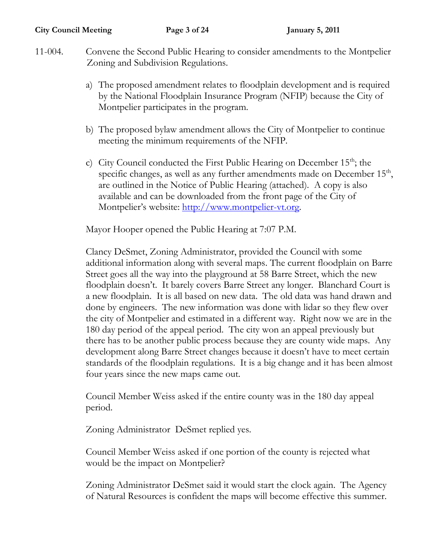- 11-004. Convene the Second Public Hearing to consider amendments to the Montpelier Zoning and Subdivision Regulations.
	- a) The proposed amendment relates to floodplain development and is required by the National Floodplain Insurance Program (NFIP) because the City of Montpelier participates in the program.
	- b) The proposed bylaw amendment allows the City of Montpelier to continue meeting the minimum requirements of the NFIP.
	- c) City Council conducted the First Public Hearing on December 15<sup>th</sup>; the specific changes, as well as any further amendments made on December  $15<sup>th</sup>$ , are outlined in the Notice of Public Hearing (attached). A copy is also available and can be downloaded from the front page of the City of Montpelier's website: [http://www.montpelier-vt.org.](http://www.montpelier-vt.org/)

Mayor Hooper opened the Public Hearing at 7:07 P.M.

Clancy DeSmet, Zoning Administrator, provided the Council with some additional information along with several maps. The current floodplain on Barre Street goes all the way into the playground at 58 Barre Street, which the new floodplain doesn't. It barely covers Barre Street any longer. Blanchard Court is a new floodplain. It is all based on new data. The old data was hand drawn and done by engineers. The new information was done with lidar so they flew over the city of Montpelier and estimated in a different way. Right now we are in the 180 day period of the appeal period. The city won an appeal previously but there has to be another public process because they are county wide maps. Any development along Barre Street changes because it doesn't have to meet certain standards of the floodplain regulations. It is a big change and it has been almost four years since the new maps came out.

Council Member Weiss asked if the entire county was in the 180 day appeal period.

Zoning Administrator DeSmet replied yes.

Council Member Weiss asked if one portion of the county is rejected what would be the impact on Montpelier?

Zoning Administrator DeSmet said it would start the clock again. The Agency of Natural Resources is confident the maps will become effective this summer.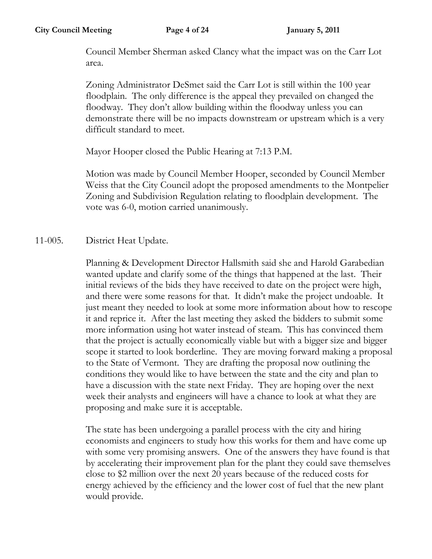Council Member Sherman asked Clancy what the impact was on the Carr Lot area.

Zoning Administrator DeSmet said the Carr Lot is still within the 100 year floodplain. The only difference is the appeal they prevailed on changed the floodway. They don't allow building within the floodway unless you can demonstrate there will be no impacts downstream or upstream which is a very difficult standard to meet.

Mayor Hooper closed the Public Hearing at 7:13 P.M.

Motion was made by Council Member Hooper, seconded by Council Member Weiss that the City Council adopt the proposed amendments to the Montpelier Zoning and Subdivision Regulation relating to floodplain development. The vote was 6-0, motion carried unanimously.

## 11-005. District Heat Update.

Planning & Development Director Hallsmith said she and Harold Garabedian wanted update and clarify some of the things that happened at the last. Their initial reviews of the bids they have received to date on the project were high, and there were some reasons for that. It didn't make the project undoable. It just meant they needed to look at some more information about how to rescope it and reprice it. After the last meeting they asked the bidders to submit some more information using hot water instead of steam. This has convinced them that the project is actually economically viable but with a bigger size and bigger scope it started to look borderline. They are moving forward making a proposal to the State of Vermont. They are drafting the proposal now outlining the conditions they would like to have between the state and the city and plan to have a discussion with the state next Friday. They are hoping over the next week their analysts and engineers will have a chance to look at what they are proposing and make sure it is acceptable.

The state has been undergoing a parallel process with the city and hiring economists and engineers to study how this works for them and have come up with some very promising answers. One of the answers they have found is that by accelerating their improvement plan for the plant they could save themselves close to \$2 million over the next 20 years because of the reduced costs for energy achieved by the efficiency and the lower cost of fuel that the new plant would provide.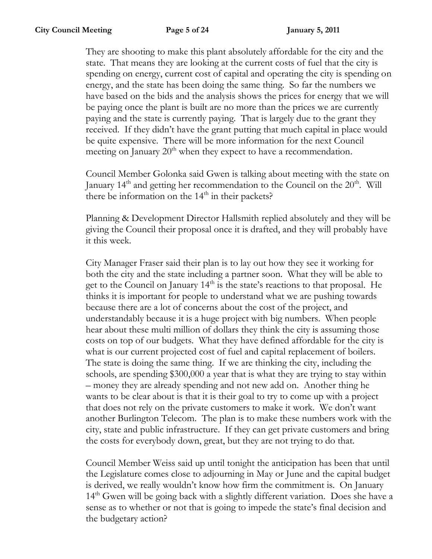They are shooting to make this plant absolutely affordable for the city and the state. That means they are looking at the current costs of fuel that the city is spending on energy, current cost of capital and operating the city is spending on energy, and the state has been doing the same thing. So far the numbers we have based on the bids and the analysis shows the prices for energy that we will be paying once the plant is built are no more than the prices we are currently paying and the state is currently paying. That is largely due to the grant they received. If they didn't have the grant putting that much capital in place would be quite expensive. There will be more information for the next Council meeting on January  $20<sup>th</sup>$  when they expect to have a recommendation.

Council Member Golonka said Gwen is talking about meeting with the state on January  $14<sup>th</sup>$  and getting her recommendation to the Council on the  $20<sup>th</sup>$ . Will there be information on the  $14<sup>th</sup>$  in their packets?

Planning & Development Director Hallsmith replied absolutely and they will be giving the Council their proposal once it is drafted, and they will probably have it this week.

City Manager Fraser said their plan is to lay out how they see it working for both the city and the state including a partner soon. What they will be able to get to the Council on January 14<sup>th</sup> is the state's reactions to that proposal. He thinks it is important for people to understand what we are pushing towards because there are a lot of concerns about the cost of the project, and understandably because it is a huge project with big numbers. When people hear about these multi million of dollars they think the city is assuming those costs on top of our budgets. What they have defined affordable for the city is what is our current projected cost of fuel and capital replacement of boilers. The state is doing the same thing. If we are thinking the city, including the schools, are spending \$300,000 a year that is what they are trying to stay within – money they are already spending and not new add on. Another thing he wants to be clear about is that it is their goal to try to come up with a project that does not rely on the private customers to make it work. We don't want another Burlington Telecom. The plan is to make these numbers work with the city, state and public infrastructure. If they can get private customers and bring the costs for everybody down, great, but they are not trying to do that.

Council Member Weiss said up until tonight the anticipation has been that until the Legislature comes close to adjourning in May or June and the capital budget is derived, we really wouldn't know how firm the commitment is. On January 14<sup>th</sup> Gwen will be going back with a slightly different variation. Does she have a sense as to whether or not that is going to impede the state's final decision and the budgetary action?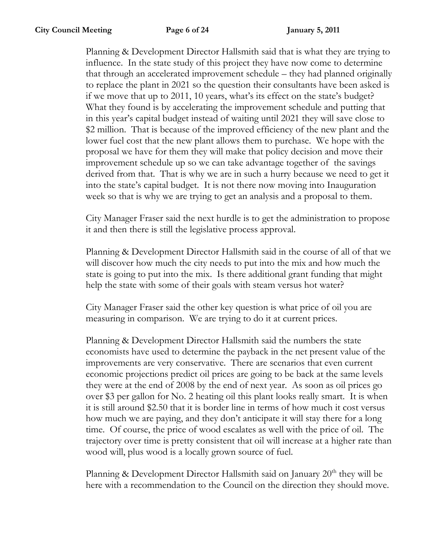Planning & Development Director Hallsmith said that is what they are trying to influence. In the state study of this project they have now come to determine that through an accelerated improvement schedule – they had planned originally to replace the plant in 2021 so the question their consultants have been asked is if we move that up to 2011, 10 years, what's its effect on the state's budget? What they found is by accelerating the improvement schedule and putting that in this year's capital budget instead of waiting until 2021 they will save close to \$2 million. That is because of the improved efficiency of the new plant and the lower fuel cost that the new plant allows them to purchase. We hope with the proposal we have for them they will make that policy decision and move their improvement schedule up so we can take advantage together of the savings derived from that. That is why we are in such a hurry because we need to get it into the state's capital budget. It is not there now moving into Inauguration week so that is why we are trying to get an analysis and a proposal to them.

City Manager Fraser said the next hurdle is to get the administration to propose it and then there is still the legislative process approval.

Planning & Development Director Hallsmith said in the course of all of that we will discover how much the city needs to put into the mix and how much the state is going to put into the mix. Is there additional grant funding that might help the state with some of their goals with steam versus hot water?

City Manager Fraser said the other key question is what price of oil you are measuring in comparison. We are trying to do it at current prices.

Planning & Development Director Hallsmith said the numbers the state economists have used to determine the payback in the net present value of the improvements are very conservative. There are scenarios that even current economic projections predict oil prices are going to be back at the same levels they were at the end of 2008 by the end of next year. As soon as oil prices go over \$3 per gallon for No. 2 heating oil this plant looks really smart. It is when it is still around \$2.50 that it is border line in terms of how much it cost versus how much we are paying, and they don't anticipate it will stay there for a long time. Of course, the price of wood escalates as well with the price of oil. The trajectory over time is pretty consistent that oil will increase at a higher rate than wood will, plus wood is a locally grown source of fuel.

Planning & Development Director Hallsmith said on January  $20<sup>th</sup>$  they will be here with a recommendation to the Council on the direction they should move.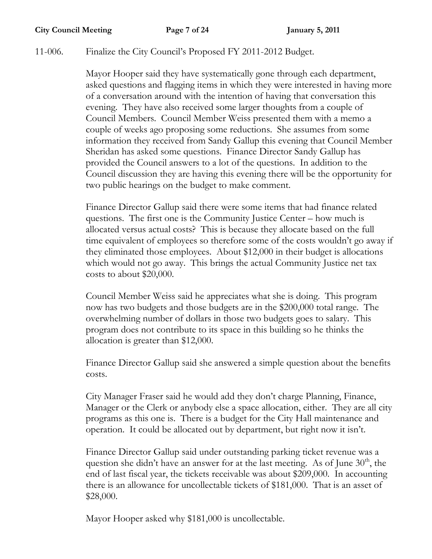## 11-006. Finalize the City Council's Proposed FY 2011-2012 Budget.

Mayor Hooper said they have systematically gone through each department, asked questions and flagging items in which they were interested in having more of a conversation around with the intention of having that conversation this evening. They have also received some larger thoughts from a couple of Council Members. Council Member Weiss presented them with a memo a couple of weeks ago proposing some reductions. She assumes from some information they received from Sandy Gallup this evening that Council Member Sheridan has asked some questions. Finance Director Sandy Gallup has provided the Council answers to a lot of the questions. In addition to the Council discussion they are having this evening there will be the opportunity for two public hearings on the budget to make comment.

Finance Director Gallup said there were some items that had finance related questions. The first one is the Community Justice Center – how much is allocated versus actual costs? This is because they allocate based on the full time equivalent of employees so therefore some of the costs wouldn't go away if they eliminated those employees. About \$12,000 in their budget is allocations which would not go away. This brings the actual Community Justice net tax costs to about \$20,000.

Council Member Weiss said he appreciates what she is doing. This program now has two budgets and those budgets are in the \$200,000 total range. The overwhelming number of dollars in those two budgets goes to salary. This program does not contribute to its space in this building so he thinks the allocation is greater than \$12,000.

Finance Director Gallup said she answered a simple question about the benefits costs.

City Manager Fraser said he would add they don't charge Planning, Finance, Manager or the Clerk or anybody else a space allocation, either. They are all city programs as this one is. There is a budget for the City Hall maintenance and operation. It could be allocated out by department, but right now it isn't.

Finance Director Gallup said under outstanding parking ticket revenue was a question she didn't have an answer for at the last meeting. As of June  $30<sup>th</sup>$ , the end of last fiscal year, the tickets receivable was about \$209,000. In accounting there is an allowance for uncollectable tickets of \$181,000. That is an asset of \$28,000.

Mayor Hooper asked why \$181,000 is uncollectable.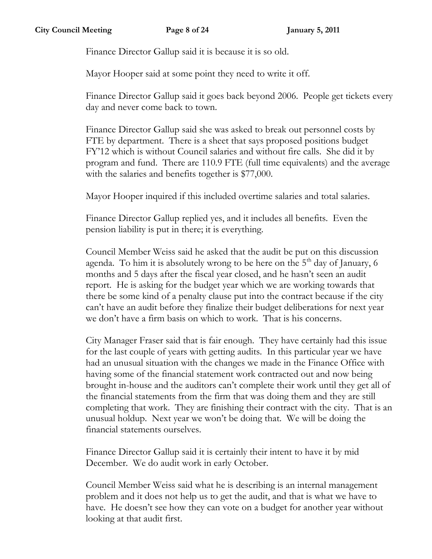Finance Director Gallup said it is because it is so old.

Mayor Hooper said at some point they need to write it off.

Finance Director Gallup said it goes back beyond 2006. People get tickets every day and never come back to town.

Finance Director Gallup said she was asked to break out personnel costs by FTE by department. There is a sheet that says proposed positions budget FY'12 which is without Council salaries and without fire calls. She did it by program and fund. There are 110.9 FTE (full time equivalents) and the average with the salaries and benefits together is \$77,000.

Mayor Hooper inquired if this included overtime salaries and total salaries.

Finance Director Gallup replied yes, and it includes all benefits. Even the pension liability is put in there; it is everything.

Council Member Weiss said he asked that the audit be put on this discussion agenda. To him it is absolutely wrong to be here on the  $5<sup>th</sup>$  day of January, 6 months and 5 days after the fiscal year closed, and he hasn't seen an audit report. He is asking for the budget year which we are working towards that there be some kind of a penalty clause put into the contract because if the city can't have an audit before they finalize their budget deliberations for next year we don't have a firm basis on which to work. That is his concerns.

City Manager Fraser said that is fair enough. They have certainly had this issue for the last couple of years with getting audits. In this particular year we have had an unusual situation with the changes we made in the Finance Office with having some of the financial statement work contracted out and now being brought in-house and the auditors can't complete their work until they get all of the financial statements from the firm that was doing them and they are still completing that work. They are finishing their contract with the city. That is an unusual holdup. Next year we won't be doing that. We will be doing the financial statements ourselves.

Finance Director Gallup said it is certainly their intent to have it by mid December. We do audit work in early October.

Council Member Weiss said what he is describing is an internal management problem and it does not help us to get the audit, and that is what we have to have. He doesn't see how they can vote on a budget for another year without looking at that audit first.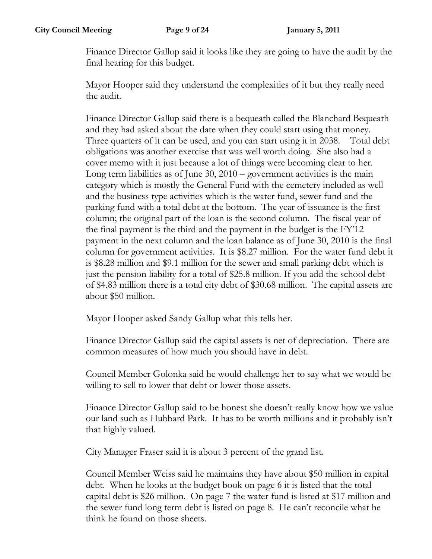Finance Director Gallup said it looks like they are going to have the audit by the final hearing for this budget.

Mayor Hooper said they understand the complexities of it but they really need the audit.

Finance Director Gallup said there is a bequeath called the Blanchard Bequeath and they had asked about the date when they could start using that money. Three quarters of it can be used, and you can start using it in 2038. Total debt obligations was another exercise that was well worth doing. She also had a cover memo with it just because a lot of things were becoming clear to her. Long term liabilities as of June 30, 2010 – government activities is the main category which is mostly the General Fund with the cemetery included as well and the business type activities which is the water fund, sewer fund and the parking fund with a total debt at the bottom. The year of issuance is the first column; the original part of the loan is the second column. The fiscal year of the final payment is the third and the payment in the budget is the FY'12 payment in the next column and the loan balance as of June 30, 2010 is the final column for government activities. It is \$8.27 million. For the water fund debt it is \$8.28 million and \$9.1 million for the sewer and small parking debt which is just the pension liability for a total of \$25.8 million. If you add the school debt of \$4.83 million there is a total city debt of \$30.68 million. The capital assets are about \$50 million.

Mayor Hooper asked Sandy Gallup what this tells her.

Finance Director Gallup said the capital assets is net of depreciation. There are common measures of how much you should have in debt.

Council Member Golonka said he would challenge her to say what we would be willing to sell to lower that debt or lower those assets.

Finance Director Gallup said to be honest she doesn't really know how we value our land such as Hubbard Park. It has to be worth millions and it probably isn't that highly valued.

City Manager Fraser said it is about 3 percent of the grand list.

Council Member Weiss said he maintains they have about \$50 million in capital debt. When he looks at the budget book on page 6 it is listed that the total capital debt is \$26 million. On page 7 the water fund is listed at \$17 million and the sewer fund long term debt is listed on page 8. He can't reconcile what he think he found on those sheets.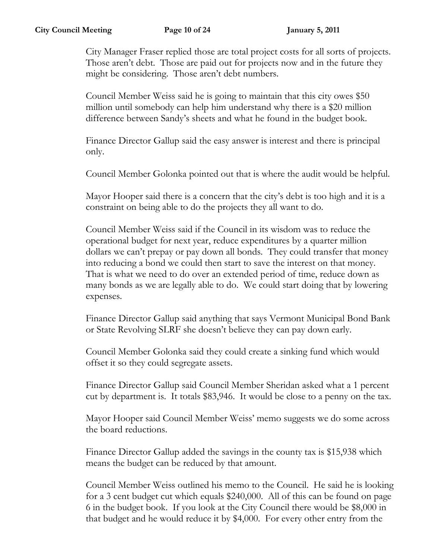City Manager Fraser replied those are total project costs for all sorts of projects. Those aren't debt. Those are paid out for projects now and in the future they might be considering. Those aren't debt numbers.

Council Member Weiss said he is going to maintain that this city owes \$50 million until somebody can help him understand why there is a \$20 million difference between Sandy's sheets and what he found in the budget book.

Finance Director Gallup said the easy answer is interest and there is principal only.

Council Member Golonka pointed out that is where the audit would be helpful.

Mayor Hooper said there is a concern that the city's debt is too high and it is a constraint on being able to do the projects they all want to do.

Council Member Weiss said if the Council in its wisdom was to reduce the operational budget for next year, reduce expenditures by a quarter million dollars we can't prepay or pay down all bonds. They could transfer that money into reducing a bond we could then start to save the interest on that money. That is what we need to do over an extended period of time, reduce down as many bonds as we are legally able to do. We could start doing that by lowering expenses.

Finance Director Gallup said anything that says Vermont Municipal Bond Bank or State Revolving SLRF she doesn't believe they can pay down early.

Council Member Golonka said they could create a sinking fund which would offset it so they could segregate assets.

Finance Director Gallup said Council Member Sheridan asked what a 1 percent cut by department is. It totals \$83,946. It would be close to a penny on the tax.

Mayor Hooper said Council Member Weiss' memo suggests we do some across the board reductions.

Finance Director Gallup added the savings in the county tax is \$15,938 which means the budget can be reduced by that amount.

Council Member Weiss outlined his memo to the Council. He said he is looking for a 3 cent budget cut which equals \$240,000. All of this can be found on page 6 in the budget book. If you look at the City Council there would be \$8,000 in that budget and he would reduce it by \$4,000. For every other entry from the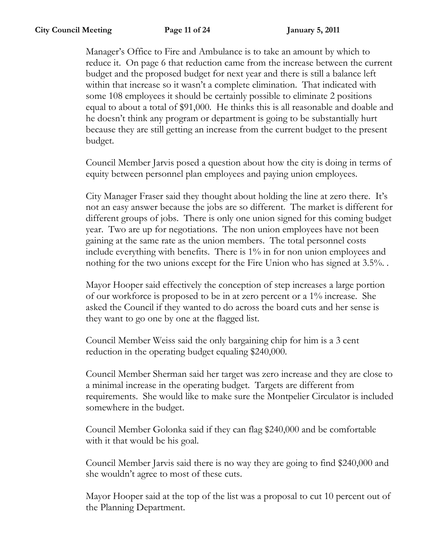Manager's Office to Fire and Ambulance is to take an amount by which to reduce it. On page 6 that reduction came from the increase between the current budget and the proposed budget for next year and there is still a balance left within that increase so it wasn't a complete elimination. That indicated with some 108 employees it should be certainly possible to eliminate 2 positions equal to about a total of \$91,000. He thinks this is all reasonable and doable and he doesn't think any program or department is going to be substantially hurt because they are still getting an increase from the current budget to the present budget.

Council Member Jarvis posed a question about how the city is doing in terms of equity between personnel plan employees and paying union employees.

City Manager Fraser said they thought about holding the line at zero there. It's not an easy answer because the jobs are so different. The market is different for different groups of jobs. There is only one union signed for this coming budget year. Two are up for negotiations. The non union employees have not been gaining at the same rate as the union members. The total personnel costs include everything with benefits. There is 1% in for non union employees and nothing for the two unions except for the Fire Union who has signed at 3.5%.

Mayor Hooper said effectively the conception of step increases a large portion of our workforce is proposed to be in at zero percent or a 1% increase. She asked the Council if they wanted to do across the board cuts and her sense is they want to go one by one at the flagged list.

Council Member Weiss said the only bargaining chip for him is a 3 cent reduction in the operating budget equaling \$240,000.

Council Member Sherman said her target was zero increase and they are close to a minimal increase in the operating budget. Targets are different from requirements. She would like to make sure the Montpelier Circulator is included somewhere in the budget.

Council Member Golonka said if they can flag \$240,000 and be comfortable with it that would be his goal.

Council Member Jarvis said there is no way they are going to find \$240,000 and she wouldn't agree to most of these cuts.

Mayor Hooper said at the top of the list was a proposal to cut 10 percent out of the Planning Department.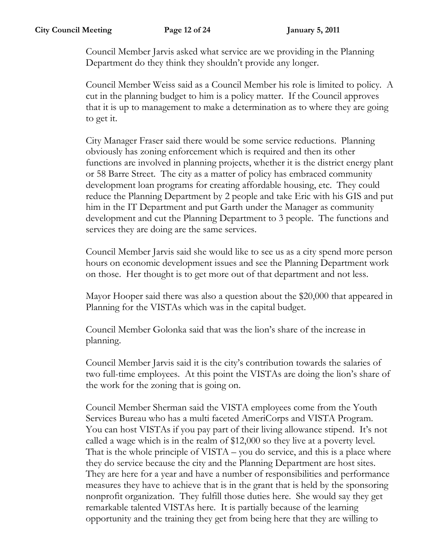Council Member Jarvis asked what service are we providing in the Planning Department do they think they shouldn't provide any longer.

Council Member Weiss said as a Council Member his role is limited to policy. A cut in the planning budget to him is a policy matter. If the Council approves that it is up to management to make a determination as to where they are going to get it.

City Manager Fraser said there would be some service reductions. Planning obviously has zoning enforcement which is required and then its other functions are involved in planning projects, whether it is the district energy plant or 58 Barre Street. The city as a matter of policy has embraced community development loan programs for creating affordable housing, etc. They could reduce the Planning Department by 2 people and take Eric with his GIS and put him in the IT Department and put Garth under the Manager as community development and cut the Planning Department to 3 people. The functions and services they are doing are the same services.

Council Member Jarvis said she would like to see us as a city spend more person hours on economic development issues and see the Planning Department work on those. Her thought is to get more out of that department and not less.

Mayor Hooper said there was also a question about the \$20,000 that appeared in Planning for the VISTAs which was in the capital budget.

Council Member Golonka said that was the lion's share of the increase in planning.

Council Member Jarvis said it is the city's contribution towards the salaries of two full-time employees. At this point the VISTAs are doing the lion's share of the work for the zoning that is going on.

Council Member Sherman said the VISTA employees come from the Youth Services Bureau who has a multi faceted AmeriCorps and VISTA Program. You can host VISTAs if you pay part of their living allowance stipend. It's not called a wage which is in the realm of \$12,000 so they live at a poverty level. That is the whole principle of VISTA – you do service, and this is a place where they do service because the city and the Planning Department are host sites. They are here for a year and have a number of responsibilities and performance measures they have to achieve that is in the grant that is held by the sponsoring nonprofit organization. They fulfill those duties here. She would say they get remarkable talented VISTAs here. It is partially because of the learning opportunity and the training they get from being here that they are willing to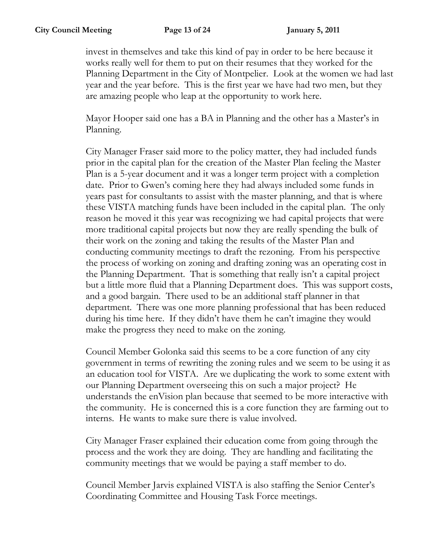invest in themselves and take this kind of pay in order to be here because it works really well for them to put on their resumes that they worked for the Planning Department in the City of Montpelier. Look at the women we had last year and the year before. This is the first year we have had two men, but they are amazing people who leap at the opportunity to work here.

Mayor Hooper said one has a BA in Planning and the other has a Master's in Planning.

City Manager Fraser said more to the policy matter, they had included funds prior in the capital plan for the creation of the Master Plan feeling the Master Plan is a 5-year document and it was a longer term project with a completion date. Prior to Gwen's coming here they had always included some funds in years past for consultants to assist with the master planning, and that is where these VISTA matching funds have been included in the capital plan. The only reason he moved it this year was recognizing we had capital projects that were more traditional capital projects but now they are really spending the bulk of their work on the zoning and taking the results of the Master Plan and conducting community meetings to draft the rezoning. From his perspective the process of working on zoning and drafting zoning was an operating cost in the Planning Department. That is something that really isn't a capital project but a little more fluid that a Planning Department does. This was support costs, and a good bargain. There used to be an additional staff planner in that department. There was one more planning professional that has been reduced during his time here. If they didn't have them he can't imagine they would make the progress they need to make on the zoning.

Council Member Golonka said this seems to be a core function of any city government in terms of rewriting the zoning rules and we seem to be using it as an education tool for VISTA. Are we duplicating the work to some extent with our Planning Department overseeing this on such a major project? He understands the enVision plan because that seemed to be more interactive with the community. He is concerned this is a core function they are farming out to interns. He wants to make sure there is value involved.

City Manager Fraser explained their education come from going through the process and the work they are doing. They are handling and facilitating the community meetings that we would be paying a staff member to do.

Council Member Jarvis explained VISTA is also staffing the Senior Center's Coordinating Committee and Housing Task Force meetings.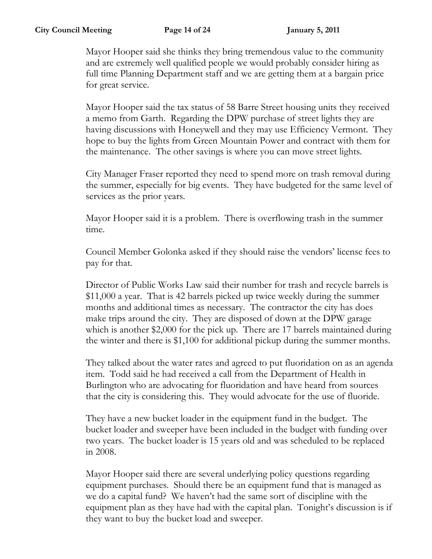Mayor Hooper said she thinks they bring tremendous value to the community and are extremely well qualified people we would probably consider hiring as full time Planning Department staff and we are getting them at a bargain price for great service.

Mayor Hooper said the tax status of 58 Barre Street housing units they received a memo from Garth. Regarding the DPW purchase of street lights they are having discussions with Honeywell and they may use Efficiency Vermont. They hope to buy the lights from Green Mountain Power and contract with them for the maintenance. The other savings is where you can move street lights.

City Manager Fraser reported they need to spend more on trash removal during the summer, especially for big events. They have budgeted for the same level of services as the prior years.

Mayor Hooper said it is a problem. There is overflowing trash in the summer time.

Council Member Golonka asked if they should raise the vendors' license fees to pay for that.

Director of Public Works Law said their number for trash and recycle barrels is \$11,000 a year. That is 42 barrels picked up twice weekly during the summer months and additional times as necessary. The contractor the city has does make trips around the city. They are disposed of down at the DPW garage which is another \$2,000 for the pick up. There are 17 barrels maintained during the winter and there is \$1,100 for additional pickup during the summer months.

They talked about the water rates and agreed to put fluoridation on as an agenda item. Todd said he had received a call from the Department of Health in Burlington who are advocating for fluoridation and have heard from sources that the city is considering this. They would advocate for the use of fluoride.

They have a new bucket loader in the equipment fund in the budget. The bucket loader and sweeper have been included in the budget with funding over two years. The bucket loader is 15 years old and was scheduled to be replaced in 2008.

Mayor Hooper said there are several underlying policy questions regarding equipment purchases. Should there be an equipment fund that is managed as we do a capital fund? We haven't had the same sort of discipline with the equipment plan as they have had with the capital plan. Tonight's discussion is if they want to buy the bucket load and sweeper.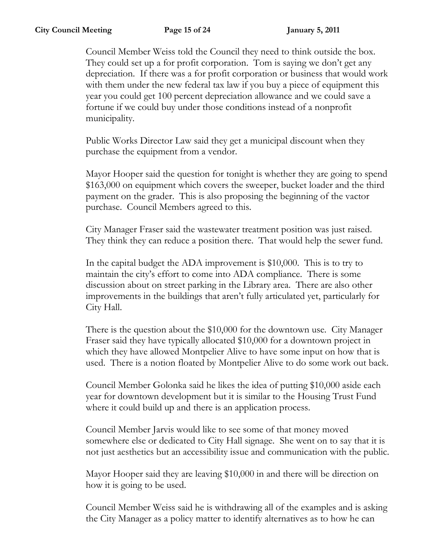Council Member Weiss told the Council they need to think outside the box. They could set up a for profit corporation. Tom is saying we don't get any depreciation. If there was a for profit corporation or business that would work with them under the new federal tax law if you buy a piece of equipment this year you could get 100 percent depreciation allowance and we could save a fortune if we could buy under those conditions instead of a nonprofit municipality.

Public Works Director Law said they get a municipal discount when they purchase the equipment from a vendor.

Mayor Hooper said the question for tonight is whether they are going to spend \$163,000 on equipment which covers the sweeper, bucket loader and the third payment on the grader. This is also proposing the beginning of the vactor purchase. Council Members agreed to this.

City Manager Fraser said the wastewater treatment position was just raised. They think they can reduce a position there. That would help the sewer fund.

In the capital budget the ADA improvement is \$10,000. This is to try to maintain the city's effort to come into ADA compliance. There is some discussion about on street parking in the Library area. There are also other improvements in the buildings that aren't fully articulated yet, particularly for City Hall.

There is the question about the \$10,000 for the downtown use. City Manager Fraser said they have typically allocated \$10,000 for a downtown project in which they have allowed Montpelier Alive to have some input on how that is used. There is a notion floated by Montpelier Alive to do some work out back.

Council Member Golonka said he likes the idea of putting \$10,000 aside each year for downtown development but it is similar to the Housing Trust Fund where it could build up and there is an application process.

Council Member Jarvis would like to see some of that money moved somewhere else or dedicated to City Hall signage. She went on to say that it is not just aesthetics but an accessibility issue and communication with the public.

Mayor Hooper said they are leaving \$10,000 in and there will be direction on how it is going to be used.

Council Member Weiss said he is withdrawing all of the examples and is asking the City Manager as a policy matter to identify alternatives as to how he can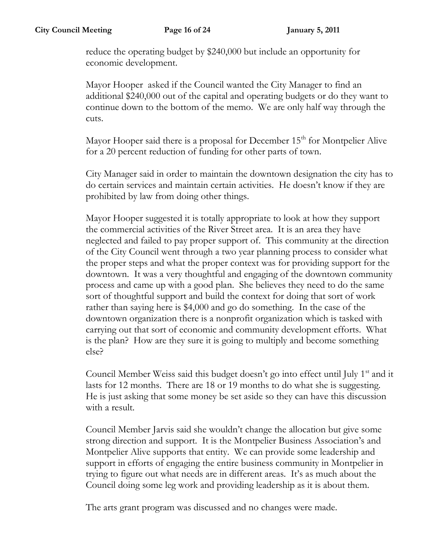reduce the operating budget by \$240,000 but include an opportunity for economic development.

Mayor Hooper asked if the Council wanted the City Manager to find an additional \$240,000 out of the capital and operating budgets or do they want to continue down to the bottom of the memo. We are only half way through the cuts.

Mayor Hooper said there is a proposal for December  $15<sup>th</sup>$  for Montpelier Alive for a 20 percent reduction of funding for other parts of town.

City Manager said in order to maintain the downtown designation the city has to do certain services and maintain certain activities. He doesn't know if they are prohibited by law from doing other things.

Mayor Hooper suggested it is totally appropriate to look at how they support the commercial activities of the River Street area. It is an area they have neglected and failed to pay proper support of. This community at the direction of the City Council went through a two year planning process to consider what the proper steps and what the proper context was for providing support for the downtown. It was a very thoughtful and engaging of the downtown community process and came up with a good plan. She believes they need to do the same sort of thoughtful support and build the context for doing that sort of work rather than saying here is \$4,000 and go do something. In the case of the downtown organization there is a nonprofit organization which is tasked with carrying out that sort of economic and community development efforts. What is the plan? How are they sure it is going to multiply and become something else?

Council Member Weiss said this budget doesn't go into effect until July  $1<sup>st</sup>$  and it lasts for 12 months. There are 18 or 19 months to do what she is suggesting. He is just asking that some money be set aside so they can have this discussion with a result.

Council Member Jarvis said she wouldn't change the allocation but give some strong direction and support. It is the Montpelier Business Association's and Montpelier Alive supports that entity. We can provide some leadership and support in efforts of engaging the entire business community in Montpelier in trying to figure out what needs are in different areas. It's as much about the Council doing some leg work and providing leadership as it is about them.

The arts grant program was discussed and no changes were made.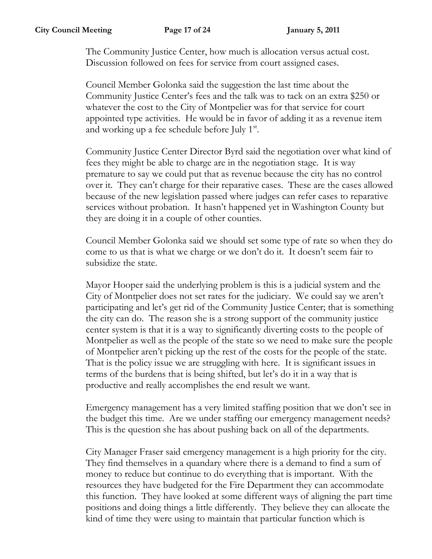The Community Justice Center, how much is allocation versus actual cost. Discussion followed on fees for service from court assigned cases.

Council Member Golonka said the suggestion the last time about the Community Justice Center's fees and the talk was to tack on an extra \$250 or whatever the cost to the City of Montpelier was for that service for court appointed type activities. He would be in favor of adding it as a revenue item and working up a fee schedule before July 1<sup>st</sup>.

Community Justice Center Director Byrd said the negotiation over what kind of fees they might be able to charge are in the negotiation stage. It is way premature to say we could put that as revenue because the city has no control over it. They can't charge for their reparative cases. These are the cases allowed because of the new legislation passed where judges can refer cases to reparative services without probation. It hasn't happened yet in Washington County but they are doing it in a couple of other counties.

Council Member Golonka said we should set some type of rate so when they do come to us that is what we charge or we don't do it. It doesn't seem fair to subsidize the state.

Mayor Hooper said the underlying problem is this is a judicial system and the City of Montpelier does not set rates for the judiciary. We could say we aren't participating and let's get rid of the Community Justice Center; that is something the city can do. The reason she is a strong support of the community justice center system is that it is a way to significantly diverting costs to the people of Montpelier as well as the people of the state so we need to make sure the people of Montpelier aren't picking up the rest of the costs for the people of the state. That is the policy issue we are struggling with here. It is significant issues in terms of the burdens that is being shifted, but let's do it in a way that is productive and really accomplishes the end result we want.

Emergency management has a very limited staffing position that we don't see in the budget this time. Are we under staffing our emergency management needs? This is the question she has about pushing back on all of the departments.

City Manager Fraser said emergency management is a high priority for the city. They find themselves in a quandary where there is a demand to find a sum of money to reduce but continue to do everything that is important. With the resources they have budgeted for the Fire Department they can accommodate this function. They have looked at some different ways of aligning the part time positions and doing things a little differently. They believe they can allocate the kind of time they were using to maintain that particular function which is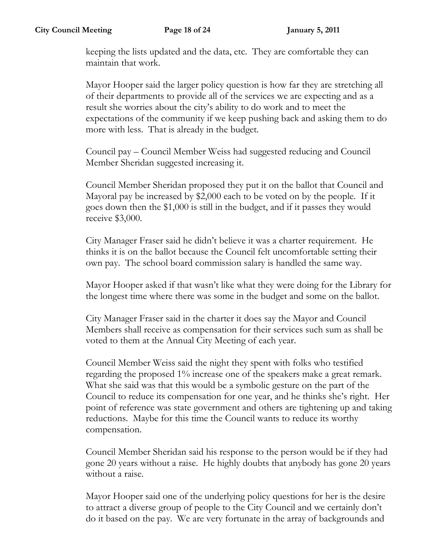keeping the lists updated and the data, etc. They are comfortable they can maintain that work.

Mayor Hooper said the larger policy question is how far they are stretching all of their departments to provide all of the services we are expecting and as a result she worries about the city's ability to do work and to meet the expectations of the community if we keep pushing back and asking them to do more with less. That is already in the budget.

Council pay – Council Member Weiss had suggested reducing and Council Member Sheridan suggested increasing it.

Council Member Sheridan proposed they put it on the ballot that Council and Mayoral pay be increased by \$2,000 each to be voted on by the people. If it goes down then the \$1,000 is still in the budget, and if it passes they would receive \$3,000.

City Manager Fraser said he didn't believe it was a charter requirement. He thinks it is on the ballot because the Council felt uncomfortable setting their own pay. The school board commission salary is handled the same way.

Mayor Hooper asked if that wasn't like what they were doing for the Library for the longest time where there was some in the budget and some on the ballot.

City Manager Fraser said in the charter it does say the Mayor and Council Members shall receive as compensation for their services such sum as shall be voted to them at the Annual City Meeting of each year.

Council Member Weiss said the night they spent with folks who testified regarding the proposed 1% increase one of the speakers make a great remark. What she said was that this would be a symbolic gesture on the part of the Council to reduce its compensation for one year, and he thinks she's right. Her point of reference was state government and others are tightening up and taking reductions. Maybe for this time the Council wants to reduce its worthy compensation.

Council Member Sheridan said his response to the person would be if they had gone 20 years without a raise. He highly doubts that anybody has gone 20 years without a raise.

Mayor Hooper said one of the underlying policy questions for her is the desire to attract a diverse group of people to the City Council and we certainly don't do it based on the pay. We are very fortunate in the array of backgrounds and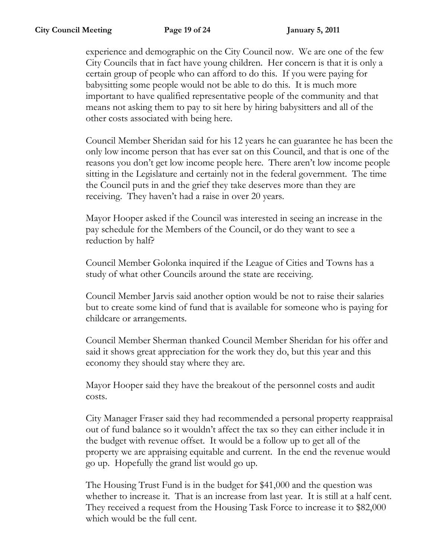experience and demographic on the City Council now. We are one of the few City Councils that in fact have young children. Her concern is that it is only a certain group of people who can afford to do this. If you were paying for babysitting some people would not be able to do this. It is much more important to have qualified representative people of the community and that means not asking them to pay to sit here by hiring babysitters and all of the other costs associated with being here.

Council Member Sheridan said for his 12 years he can guarantee he has been the only low income person that has ever sat on this Council, and that is one of the reasons you don't get low income people here. There aren't low income people sitting in the Legislature and certainly not in the federal government. The time the Council puts in and the grief they take deserves more than they are receiving. They haven't had a raise in over 20 years.

Mayor Hooper asked if the Council was interested in seeing an increase in the pay schedule for the Members of the Council, or do they want to see a reduction by half?

Council Member Golonka inquired if the League of Cities and Towns has a study of what other Councils around the state are receiving.

Council Member Jarvis said another option would be not to raise their salaries but to create some kind of fund that is available for someone who is paying for childcare or arrangements.

Council Member Sherman thanked Council Member Sheridan for his offer and said it shows great appreciation for the work they do, but this year and this economy they should stay where they are.

Mayor Hooper said they have the breakout of the personnel costs and audit costs.

City Manager Fraser said they had recommended a personal property reappraisal out of fund balance so it wouldn't affect the tax so they can either include it in the budget with revenue offset. It would be a follow up to get all of the property we are appraising equitable and current. In the end the revenue would go up. Hopefully the grand list would go up.

The Housing Trust Fund is in the budget for \$41,000 and the question was whether to increase it. That is an increase from last year. It is still at a half cent. They received a request from the Housing Task Force to increase it to \$82,000 which would be the full cent.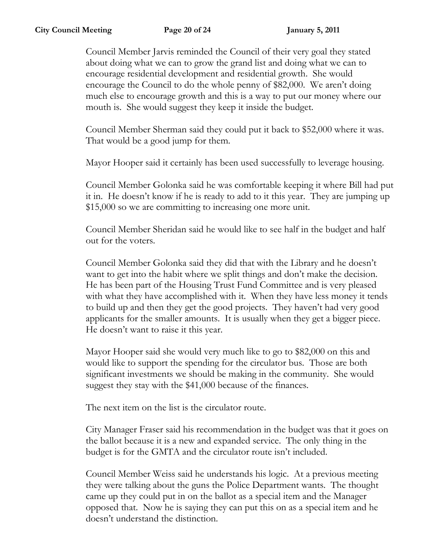Council Member Jarvis reminded the Council of their very goal they stated about doing what we can to grow the grand list and doing what we can to encourage residential development and residential growth. She would encourage the Council to do the whole penny of \$82,000. We aren't doing much else to encourage growth and this is a way to put our money where our mouth is. She would suggest they keep it inside the budget.

Council Member Sherman said they could put it back to \$52,000 where it was. That would be a good jump for them.

Mayor Hooper said it certainly has been used successfully to leverage housing.

Council Member Golonka said he was comfortable keeping it where Bill had put it in. He doesn't know if he is ready to add to it this year. They are jumping up \$15,000 so we are committing to increasing one more unit.

Council Member Sheridan said he would like to see half in the budget and half out for the voters.

Council Member Golonka said they did that with the Library and he doesn't want to get into the habit where we split things and don't make the decision. He has been part of the Housing Trust Fund Committee and is very pleased with what they have accomplished with it. When they have less money it tends to build up and then they get the good projects. They haven't had very good applicants for the smaller amounts. It is usually when they get a bigger piece. He doesn't want to raise it this year.

Mayor Hooper said she would very much like to go to \$82,000 on this and would like to support the spending for the circulator bus. Those are both significant investments we should be making in the community. She would suggest they stay with the \$41,000 because of the finances.

The next item on the list is the circulator route.

City Manager Fraser said his recommendation in the budget was that it goes on the ballot because it is a new and expanded service. The only thing in the budget is for the GMTA and the circulator route isn't included.

Council Member Weiss said he understands his logic. At a previous meeting they were talking about the guns the Police Department wants. The thought came up they could put in on the ballot as a special item and the Manager opposed that. Now he is saying they can put this on as a special item and he doesn't understand the distinction.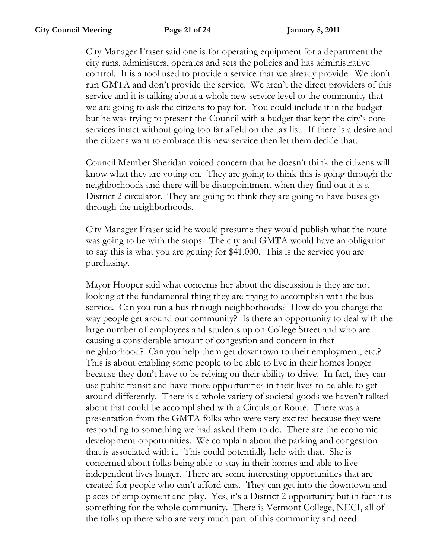City Manager Fraser said one is for operating equipment for a department the city runs, administers, operates and sets the policies and has administrative control. It is a tool used to provide a service that we already provide. We don't run GMTA and don't provide the service. We aren't the direct providers of this service and it is talking about a whole new service level to the community that we are going to ask the citizens to pay for. You could include it in the budget but he was trying to present the Council with a budget that kept the city's core services intact without going too far afield on the tax list. If there is a desire and the citizens want to embrace this new service then let them decide that.

Council Member Sheridan voiced concern that he doesn't think the citizens will know what they are voting on. They are going to think this is going through the neighborhoods and there will be disappointment when they find out it is a District 2 circulator. They are going to think they are going to have buses go through the neighborhoods.

City Manager Fraser said he would presume they would publish what the route was going to be with the stops. The city and GMTA would have an obligation to say this is what you are getting for \$41,000. This is the service you are purchasing.

Mayor Hooper said what concerns her about the discussion is they are not looking at the fundamental thing they are trying to accomplish with the bus service. Can you run a bus through neighborhoods? How do you change the way people get around our community? Is there an opportunity to deal with the large number of employees and students up on College Street and who are causing a considerable amount of congestion and concern in that neighborhood? Can you help them get downtown to their employment, etc.? This is about enabling some people to be able to live in their homes longer because they don't have to be relying on their ability to drive. In fact, they can use public transit and have more opportunities in their lives to be able to get around differently. There is a whole variety of societal goods we haven't talked about that could be accomplished with a Circulator Route. There was a presentation from the GMTA folks who were very excited because they were responding to something we had asked them to do. There are the economic development opportunities. We complain about the parking and congestion that is associated with it. This could potentially help with that. She is concerned about folks being able to stay in their homes and able to live independent lives longer. There are some interesting opportunities that are created for people who can't afford cars. They can get into the downtown and places of employment and play. Yes, it's a District 2 opportunity but in fact it is something for the whole community. There is Vermont College, NECI, all of the folks up there who are very much part of this community and need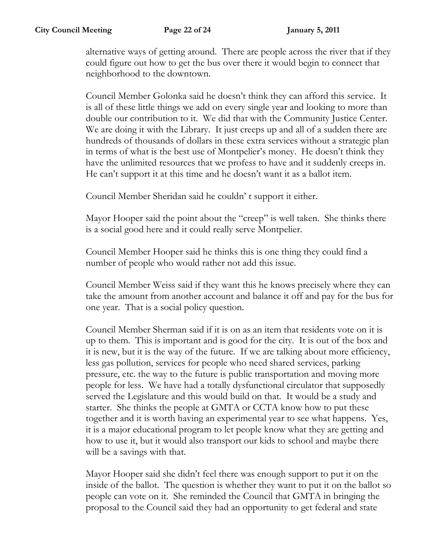alternative ways of getting around. There are people across the river that if they could figure out how to get the bus over there it would begin to connect that neighborhood to the downtown.

Council Member Golonka said he doesn't think they can afford this service. It is all of these little things we add on every single year and looking to more than double our contribution to it. We did that with the Community Justice Center. We are doing it with the Library. It just creeps up and all of a sudden there are hundreds of thousands of dollars in these extra services without a strategic plan in terms of what is the best use of Montpelier's money. He doesn't think they have the unlimited resources that we profess to have and it suddenly creeps in. He can't support it at this time and he doesn't want it as a ballot item.

Council Member Sheridan said he couldn' t support it either.

Mayor Hooper said the point about the "creep" is well taken. She thinks there is a social good here and it could really serve Montpelier.

Council Member Hooper said he thinks this is one thing they could find a number of people who would rather not add this issue.

Council Member Weiss said if they want this he knows precisely where they can take the amount from another account and balance it off and pay for the bus for one year. That is a social policy question.

Council Member Sherman said if it is on as an item that residents vote on it is up to them. This is important and is good for the city. It is out of the box and it is new, but it is the way of the future. If we are talking about more efficiency, less gas pollution, services for people who need shared services, parking pressure, etc. the way to the future is public transportation and moving more people for less. We have had a totally dysfunctional circulator that supposedly served the Legislature and this would build on that. It would be a study and starter. She thinks the people at GMTA or CCTA know how to put these together and it is worth having an experimental year to see what happens. Yes, it is a major educational program to let people know what they are getting and how to use it, but it would also transport our kids to school and maybe there will be a savings with that.

Mayor Hooper said she didn't feel there was enough support to put it on the inside of the ballot. The question is whether they want to put it on the ballot so people can vote on it. She reminded the Council that GMTA in bringing the proposal to the Council said they had an opportunity to get federal and state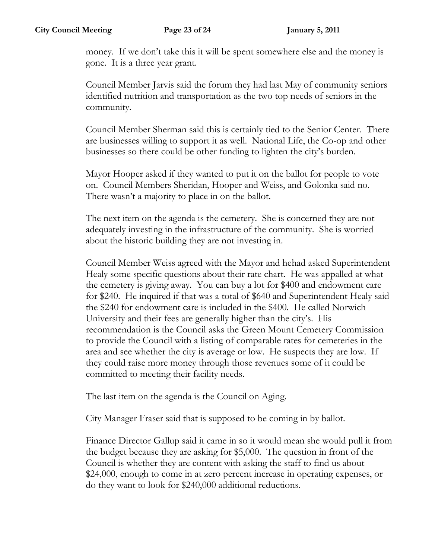money. If we don't take this it will be spent somewhere else and the money is gone. It is a three year grant.

Council Member Jarvis said the forum they had last May of community seniors identified nutrition and transportation as the two top needs of seniors in the community.

Council Member Sherman said this is certainly tied to the Senior Center. There are businesses willing to support it as well. National Life, the Co-op and other businesses so there could be other funding to lighten the city's burden.

Mayor Hooper asked if they wanted to put it on the ballot for people to vote on. Council Members Sheridan, Hooper and Weiss, and Golonka said no. There wasn't a majority to place in on the ballot.

The next item on the agenda is the cemetery. She is concerned they are not adequately investing in the infrastructure of the community. She is worried about the historic building they are not investing in.

Council Member Weiss agreed with the Mayor and hehad asked Superintendent Healy some specific questions about their rate chart. He was appalled at what the cemetery is giving away. You can buy a lot for \$400 and endowment care for \$240. He inquired if that was a total of \$640 and Superintendent Healy said the \$240 for endowment care is included in the \$400. He called Norwich University and their fees are generally higher than the city's. His recommendation is the Council asks the Green Mount Cemetery Commission to provide the Council with a listing of comparable rates for cemeteries in the area and see whether the city is average or low. He suspects they are low. If they could raise more money through those revenues some of it could be committed to meeting their facility needs.

The last item on the agenda is the Council on Aging.

City Manager Fraser said that is supposed to be coming in by ballot.

Finance Director Gallup said it came in so it would mean she would pull it from the budget because they are asking for \$5,000. The question in front of the Council is whether they are content with asking the staff to find us about \$24,000, enough to come in at zero percent increase in operating expenses, or do they want to look for \$240,000 additional reductions.